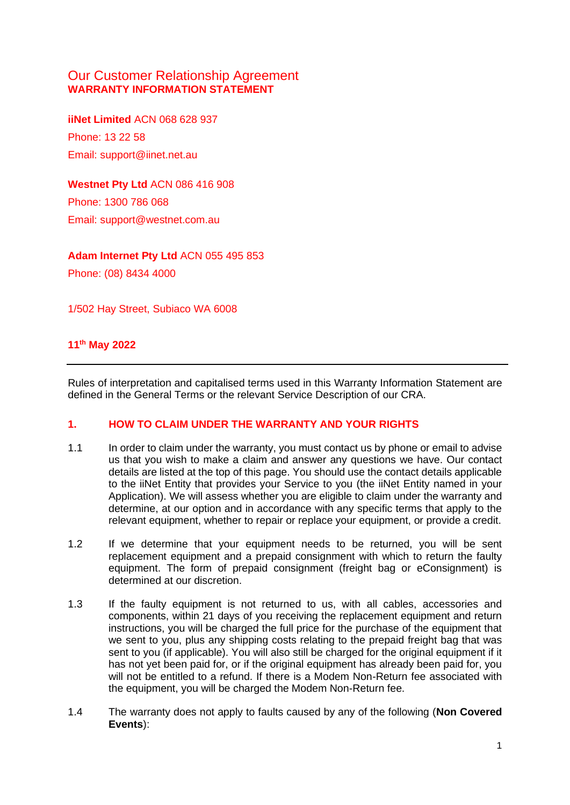# Our Customer Relationship Agreement **WARRANTY INFORMATION STATEMENT**

**iiNet Limited** ACN 068 628 937 Phone: 13 22 58 Email: support@iinet.net.au

**Westnet Pty Ltd** ACN 086 416 908 Phone: 1300 786 068 Email: support@westnet.com.au

**Adam Internet Pty Ltd** ACN 055 495 853

Phone: (08) 8434 4000

1/502 Hay Street, Subiaco WA 6008

### **11th May 2022**

Rules of interpretation and capitalised terms used in this Warranty Information Statement are defined in the General Terms or the relevant Service Description of our CRA.

#### **1. HOW TO CLAIM UNDER THE WARRANTY AND YOUR RIGHTS**

- 1.1 In order to claim under the warranty, you must contact us by phone or email to advise us that you wish to make a claim and answer any questions we have. Our contact details are listed at the top of this page. You should use the contact details applicable to the iiNet Entity that provides your Service to you (the iiNet Entity named in your Application). We will assess whether you are eligible to claim under the warranty and determine, at our option and in accordance with any specific terms that apply to the relevant equipment, whether to repair or replace your equipment, or provide a credit.
- <span id="page-0-0"></span>1.2 If we determine that your equipment needs to be returned, you will be sent replacement equipment and a prepaid consignment with which to return the faulty equipment. The form of prepaid consignment (freight bag or eConsignment) is determined at our discretion.
- 1.3 If the faulty equipment is not returned to us, with all cables, accessories and components, within 21 days of you receiving the replacement equipment and return instructions, you will be charged the full price for the purchase of the equipment that we sent to you, plus any shipping costs relating to the prepaid freight bag that was sent to you (if applicable). You will also still be charged for the original equipment if it has not yet been paid for, or if the original equipment has already been paid for, you will not be entitled to a refund. If there is a Modem Non-Return fee associated with the equipment, you will be charged the Modem Non-Return fee.
- 1.4 The warranty does not apply to faults caused by any of the following (**Non Covered Events**):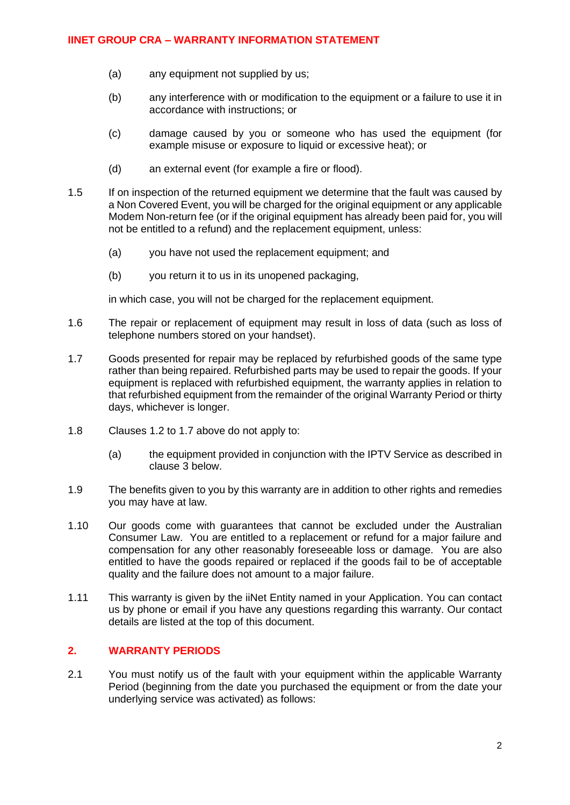#### **IINET GROUP CRA – WARRANTY INFORMATION STATEMENT**

- (a) any equipment not supplied by us;
- (b) any interference with or modification to the equipment or a failure to use it in accordance with instructions; or
- (c) damage caused by you or someone who has used the equipment (for example misuse or exposure to liquid or excessive heat); or
- (d) an external event (for example a fire or flood).
- 1.5 If on inspection of the returned equipment we determine that the fault was caused by a Non Covered Event, you will be charged for the original equipment or any applicable Modem Non-return fee (or if the original equipment has already been paid for, you will not be entitled to a refund) and the replacement equipment, unless:
	- (a) you have not used the replacement equipment; and
	- (b) you return it to us in its unopened packaging,

in which case, you will not be charged for the replacement equipment.

- 1.6 The repair or replacement of equipment may result in loss of data (such as loss of telephone numbers stored on your handset).
- <span id="page-1-0"></span>1.7 Goods presented for repair may be replaced by refurbished goods of the same type rather than being repaired. Refurbished parts may be used to repair the goods. If your equipment is replaced with refurbished equipment, the warranty applies in relation to that refurbished equipment from the remainder of the original Warranty Period or thirty days, whichever is longer.
- 1.8 Clauses [1.2](#page-0-0) to [1.7](#page-1-0) above do not apply to:
	- (a) the equipment provided in conjunction with the IPTV Service as described in clause 3 below.
- 1.9 The benefits given to you by this warranty are in addition to other rights and remedies you may have at law.
- 1.10 Our goods come with guarantees that cannot be excluded under the Australian Consumer Law. You are entitled to a replacement or refund for a major failure and compensation for any other reasonably foreseeable loss or damage. You are also entitled to have the goods repaired or replaced if the goods fail to be of acceptable quality and the failure does not amount to a major failure.
- 1.11 This warranty is given by the iiNet Entity named in your Application. You can contact us by phone or email if you have any questions regarding this warranty. Our contact details are listed at the top of this document.

#### **2. WARRANTY PERIODS**

2.1 You must notify us of the fault with your equipment within the applicable Warranty Period (beginning from the date you purchased the equipment or from the date your underlying service was activated) as follows: